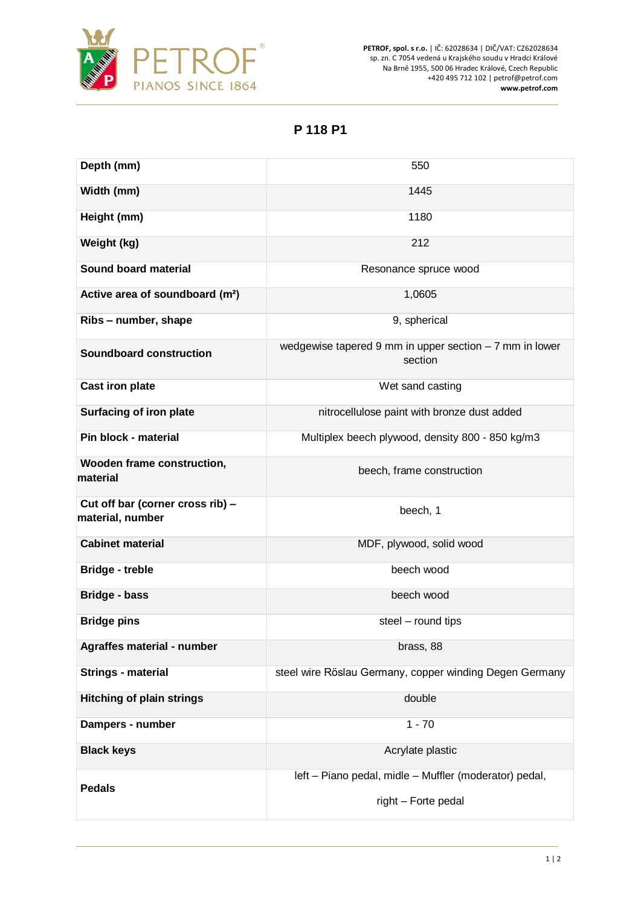

**PETROF, spol. s r.o.** | IČ: 62028634 | DIČ/VAT: CZ62028634 sp. zn. C 7054 vedená u Krajského soudu v Hradci Králové Na Brně 1955, 500 06 Hradec Králové, Czech Republic +420 495 712 102 | petrof@petrof.com **www.petrof.com**

**P 118 P1**

| Depth (mm)                                           | 550                                                                           |
|------------------------------------------------------|-------------------------------------------------------------------------------|
| Width (mm)                                           | 1445                                                                          |
| Height (mm)                                          | 1180                                                                          |
| Weight (kg)                                          | 212                                                                           |
| Sound board material                                 | Resonance spruce wood                                                         |
| Active area of soundboard (m <sup>2</sup> )          | 1,0605                                                                        |
| Ribs - number, shape                                 | 9, spherical                                                                  |
| <b>Soundboard construction</b>                       | wedgewise tapered 9 mm in upper section $-7$ mm in lower<br>section           |
| <b>Cast iron plate</b>                               | Wet sand casting                                                              |
| <b>Surfacing of iron plate</b>                       | nitrocellulose paint with bronze dust added                                   |
| Pin block - material                                 | Multiplex beech plywood, density 800 - 850 kg/m3                              |
| Wooden frame construction,<br>material               | beech, frame construction                                                     |
| Cut off bar (corner cross rib) -<br>material, number | beech, 1                                                                      |
| <b>Cabinet material</b>                              | MDF, plywood, solid wood                                                      |
| <b>Bridge - treble</b>                               | beech wood                                                                    |
| <b>Bridge - bass</b>                                 | beech wood                                                                    |
| <b>Bridge pins</b>                                   | steel - round tips                                                            |
| Agraffes material - number                           | brass, 88                                                                     |
| <b>Strings - material</b>                            | steel wire Röslau Germany, copper winding Degen Germany                       |
| <b>Hitching of plain strings</b>                     | double                                                                        |
| Dampers - number                                     | $1 - 70$                                                                      |
| <b>Black keys</b>                                    | Acrylate plastic                                                              |
| <b>Pedals</b>                                        | left - Piano pedal, midle - Muffler (moderator) pedal,<br>right - Forte pedal |